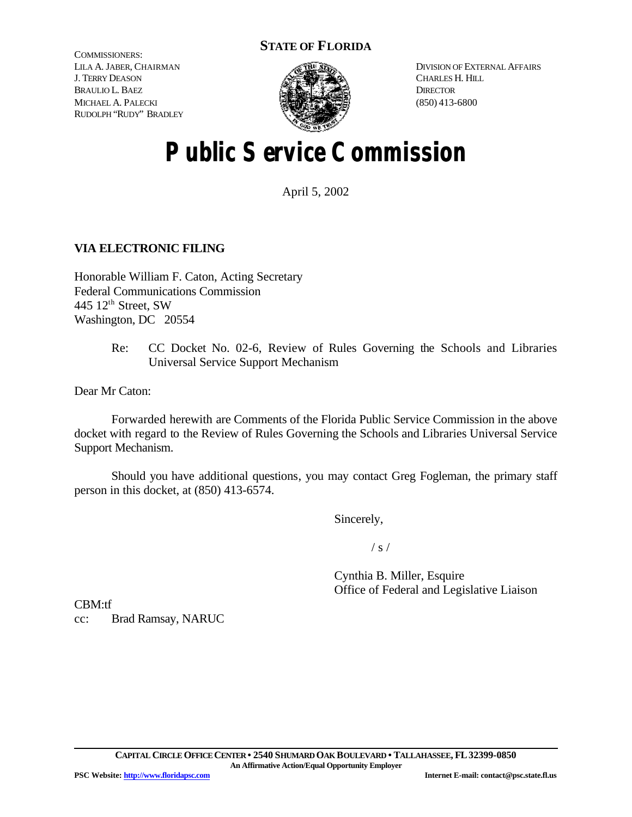# **STATE OF FLORIDA**

COMMISSIONERS: LILA A. JABER, CHAIRMAN J. TERRY DEASON BRAULIO L. BAEZ MICHAEL A. PALECKI RUDOLPH "RUDY" BRADLEY



DIVISION OF EXTERNAL AFFAIRS CHARLES H. HILL **DIRECTOR** (850) 413-6800

# **Public Service Commission**

April 5, 2002

# **VIA ELECTRONIC FILING**

Honorable William F. Caton, Acting Secretary Federal Communications Commission 445 12<sup>th</sup> Street, SW Washington, DC 20554

> Re: CC Docket No. 02-6, Review of Rules Governing the Schools and Libraries Universal Service Support Mechanism

Dear Mr Caton:

Forwarded herewith are Comments of the Florida Public Service Commission in the above docket with regard to the Review of Rules Governing the Schools and Libraries Universal Service Support Mechanism.

Should you have additional questions, you may contact Greg Fogleman, the primary staff person in this docket, at (850) 413-6574.

Sincerely,

 $/ s /$ 

Cynthia B. Miller, Esquire Office of Federal and Legislative Liaison

CBM:tf cc: Brad Ramsay, NARUC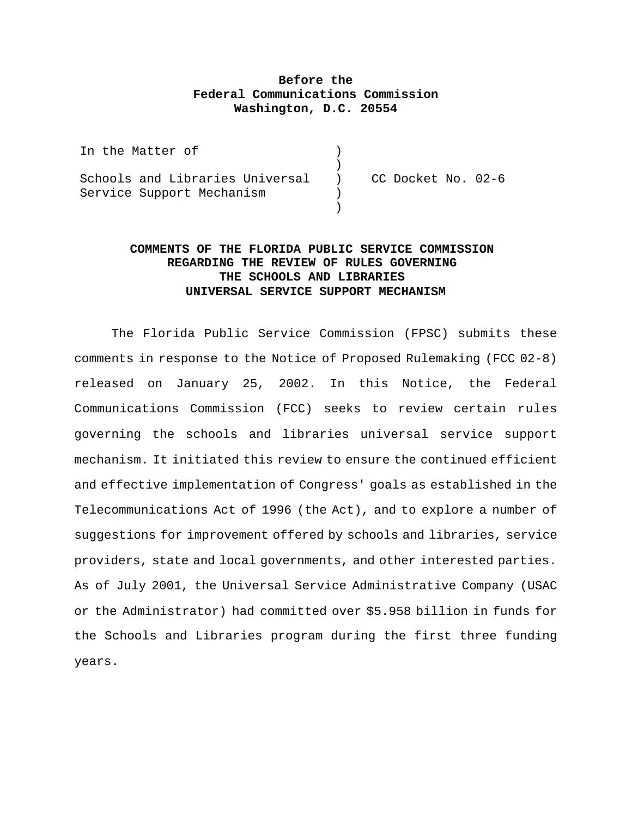### **Before the Federal Communications Commission Washington, D.C. 20554**

| In the Matter of                                    |  |  |
|-----------------------------------------------------|--|--|
|                                                     |  |  |
| Schools and Libraries Universal (CC Docket No. 02-6 |  |  |
| Service Support Mechanism                           |  |  |
|                                                     |  |  |

# **COMMENTS OF THE FLORIDA PUBLIC SERVICE COMMISSION REGARDING THE REVIEW OF RULES GOVERNING THE SCHOOLS AND LIBRARIES UNIVERSAL SERVICE SUPPORT MECHANISM**

The Florida Public Service Commission (FPSC) submits these comments in response to the Notice of Proposed Rulemaking (FCC 02-8) released on January 25, 2002. In this Notice, the Federal Communications Commission (FCC) seeks to review certain rules governing the schools and libraries universal service support mechanism. It initiated this review to ensure the continued efficient and effective implementation of Congress' goals as established in the Telecommunications Act of 1996 (the Act), and to explore a number of suggestions for improvement offered by schools and libraries, service providers, state and local governments, and other interested parties. As of July 2001, the Universal Service Administrative Company (USAC or the Administrator) had committed over \$5.958 billion in funds for the Schools and Libraries program during the first three funding years.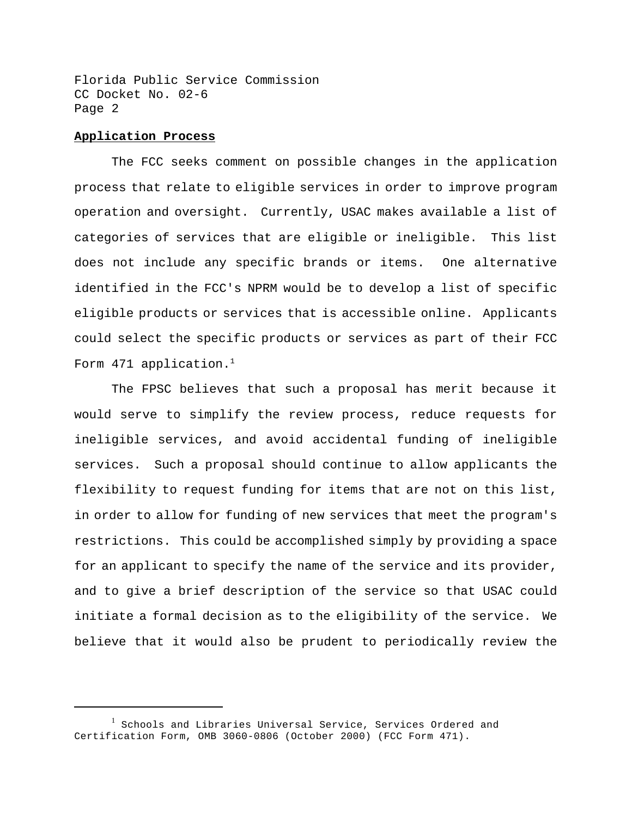#### **Application Process**

The FCC seeks comment on possible changes in the application process that relate to eligible services in order to improve program operation and oversight. Currently, USAC makes available a list of categories of services that are eligible or ineligible. This list does not include any specific brands or items. One alternative identified in the FCC's NPRM would be to develop a list of specific eligible products or services that is accessible online. Applicants could select the specific products or services as part of their FCC Form  $471$  application.<sup>1</sup>

The FPSC believes that such a proposal has merit because it would serve to simplify the review process, reduce requests for ineligible services, and avoid accidental funding of ineligible services. Such a proposal should continue to allow applicants the flexibility to request funding for items that are not on this list, in order to allow for funding of new services that meet the program's restrictions. This could be accomplished simply by providing a space for an applicant to specify the name of the service and its provider, and to give a brief description of the service so that USAC could initiate a formal decision as to the eligibility of the service. We believe that it would also be prudent to periodically review the

 $^{\rm l}$  Schools and Libraries Universal Service, Services Ordered and Certification Form, OMB 3060-0806 (October 2000) (FCC Form 471).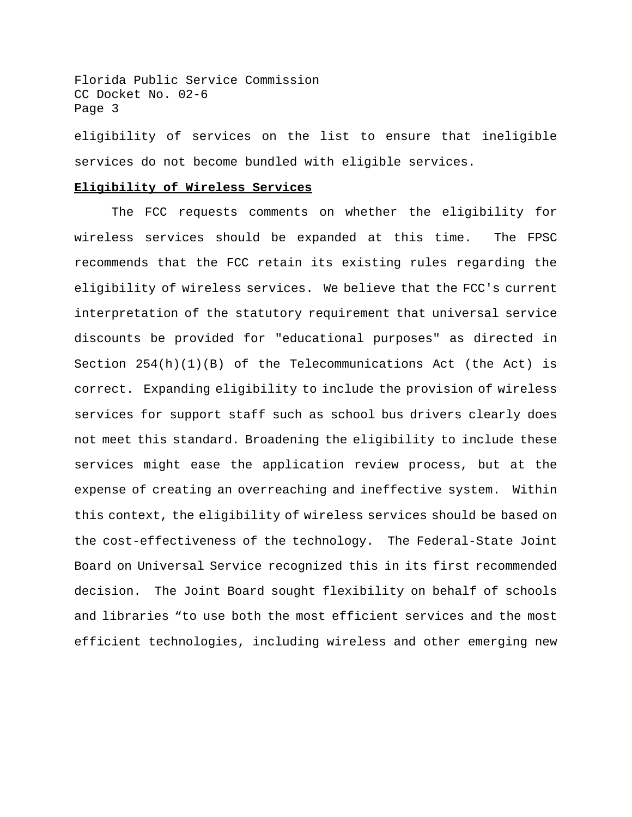Florida Public Service Commission CC Docket No. 02-6 Page 3 eligibility of services on the list to ensure that ineligible services do not become bundled with eligible services.

#### **Eligibility of Wireless Services**

The FCC requests comments on whether the eligibility for wireless services should be expanded at this time. The FPSC recommends that the FCC retain its existing rules regarding the eligibility of wireless services. We believe that the FCC's current interpretation of the statutory requirement that universal service discounts be provided for "educational purposes" as directed in Section  $254(h)(1)(B)$  of the Telecommunications Act (the Act) is correct. Expanding eligibility to include the provision of wireless services for support staff such as school bus drivers clearly does not meet this standard. Broadening the eligibility to include these services might ease the application review process, but at the expense of creating an overreaching and ineffective system. Within this context, the eligibility of wireless services should be based on the cost-effectiveness of the technology. The Federal-State Joint Board on Universal Service recognized this in its first recommended decision. The Joint Board sought flexibility on behalf of schools and libraries "to use both the most efficient services and the most efficient technologies, including wireless and other emerging new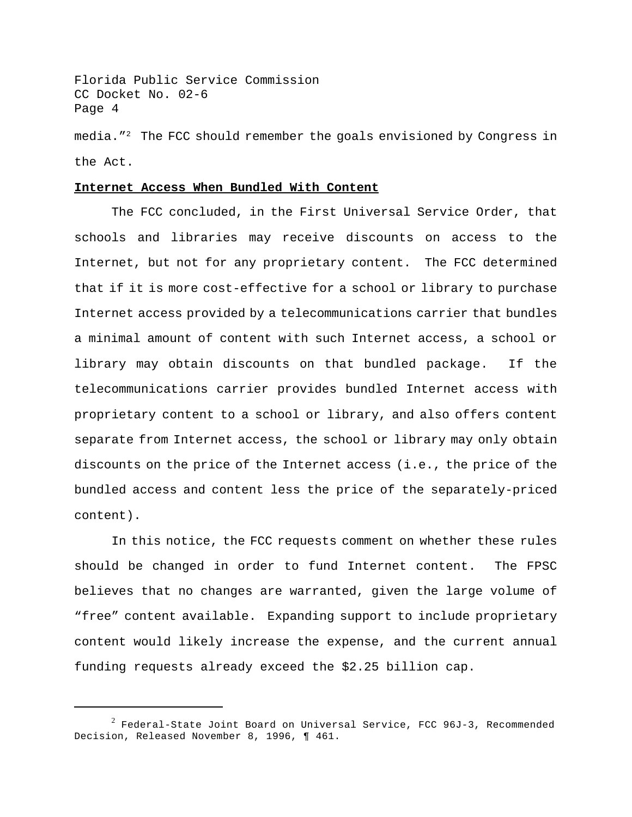Florida Public Service Commission CC Docket No. 02-6 Page 4 media. $12^2$  The FCC should remember the goals envisioned by Congress in the Act.

#### **Internet Access When Bundled With Content**

The FCC concluded, in the First Universal Service Order, that schools and libraries may receive discounts on access to the Internet, but not for any proprietary content. The FCC determined that if it is more cost-effective for a school or library to purchase Internet access provided by a telecommunications carrier that bundles a minimal amount of content with such Internet access, a school or library may obtain discounts on that bundled package. If the telecommunications carrier provides bundled Internet access with proprietary content to a school or library, and also offers content separate from Internet access, the school or library may only obtain discounts on the price of the Internet access (i.e., the price of the bundled access and content less the price of the separately-priced content).

In this notice, the FCC requests comment on whether these rules should be changed in order to fund Internet content. The FPSC believes that no changes are warranted, given the large volume of "free" content available. Expanding support to include proprietary content would likely increase the expense, and the current annual funding requests already exceed the \$2.25 billion cap.

 $^2$  Federal-State Joint Board on Universal Service, FCC 96J-3, Recommended Decision, Released November 8, 1996, ¶ 461.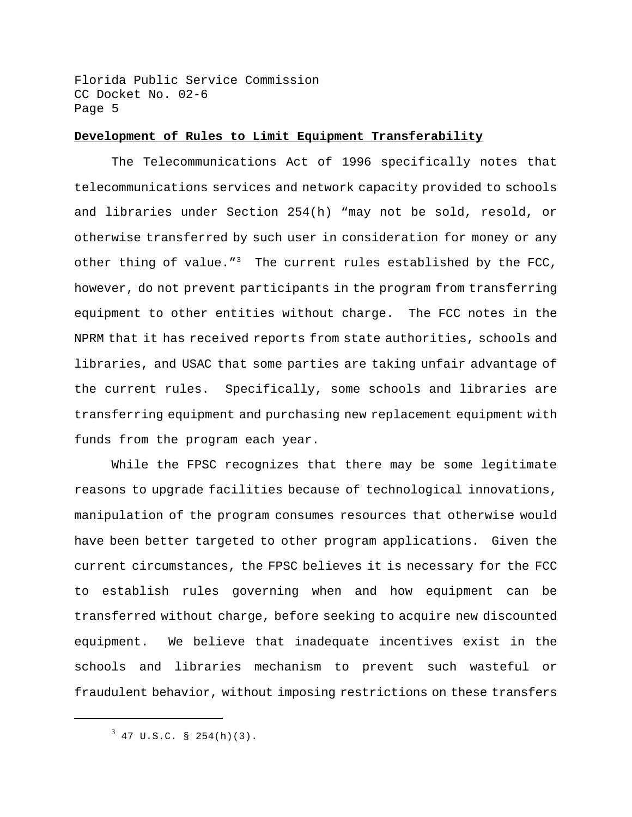#### **Development of Rules to Limit Equipment Transferability**

The Telecommunications Act of 1996 specifically notes that telecommunications services and network capacity provided to schools and libraries under Section 254(h) "may not be sold, resold, or otherwise transferred by such user in consideration for money or any other thing of value."<sup>3</sup> The current rules established by the FCC, however, do not prevent participants in the program from transferring equipment to other entities without charge. The FCC notes in the NPRM that it has received reports from state authorities, schools and libraries, and USAC that some parties are taking unfair advantage of the current rules. Specifically, some schools and libraries are transferring equipment and purchasing new replacement equipment with funds from the program each year.

While the FPSC recognizes that there may be some legitimate reasons to upgrade facilities because of technological innovations, manipulation of the program consumes resources that otherwise would have been better targeted to other program applications. Given the current circumstances, the FPSC believes it is necessary for the FCC to establish rules governing when and how equipment can be transferred without charge, before seeking to acquire new discounted equipment. We believe that inadequate incentives exist in the schools and libraries mechanism to prevent such wasteful or fraudulent behavior, without imposing restrictions on these transfers

 $3$  47 U.S.C. § 254(h)(3).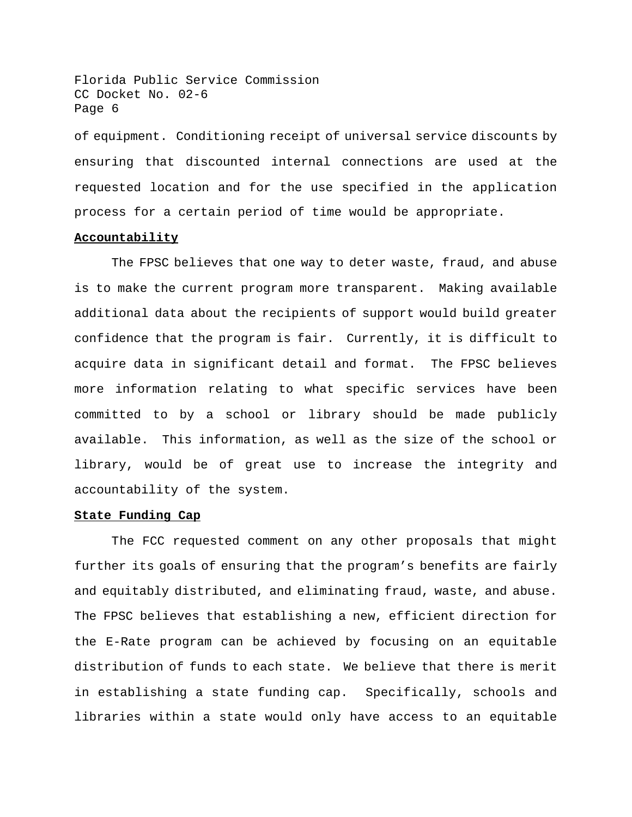of equipment. Conditioning receipt of universal service discounts by ensuring that discounted internal connections are used at the requested location and for the use specified in the application process for a certain period of time would be appropriate.

#### **Accountability**

The FPSC believes that one way to deter waste, fraud, and abuse is to make the current program more transparent. Making available additional data about the recipients of support would build greater confidence that the program is fair. Currently, it is difficult to acquire data in significant detail and format. The FPSC believes more information relating to what specific services have been committed to by a school or library should be made publicly available. This information, as well as the size of the school or library, would be of great use to increase the integrity and accountability of the system.

#### **State Funding Cap**

The FCC requested comment on any other proposals that might further its goals of ensuring that the program's benefits are fairly and equitably distributed, and eliminating fraud, waste, and abuse. The FPSC believes that establishing a new, efficient direction for the E-Rate program can be achieved by focusing on an equitable distribution of funds to each state. We believe that there is merit in establishing a state funding cap. Specifically, schools and libraries within a state would only have access to an equitable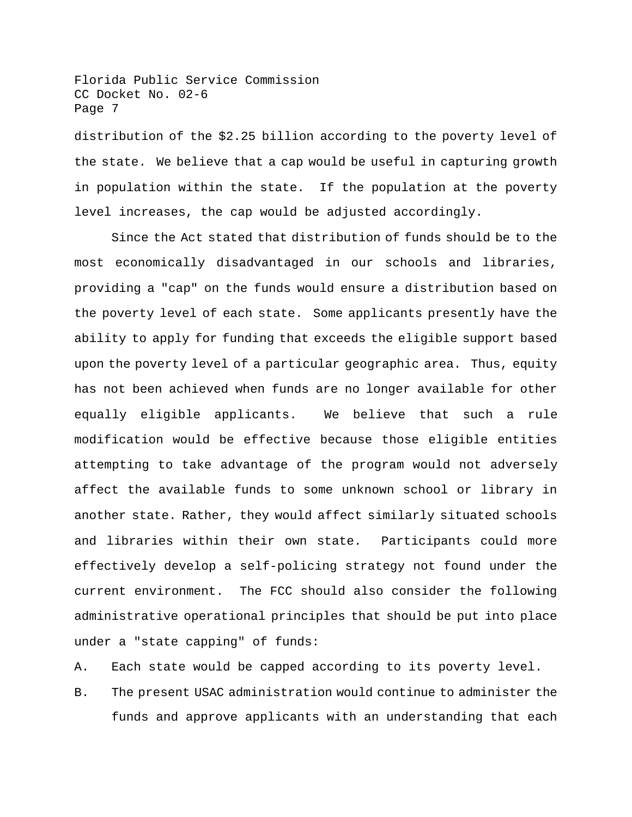distribution of the \$2.25 billion according to the poverty level of the state. We believe that a cap would be useful in capturing growth in population within the state. If the population at the poverty level increases, the cap would be adjusted accordingly.

Since the Act stated that distribution of funds should be to the most economically disadvantaged in our schools and libraries, providing a "cap" on the funds would ensure a distribution based on the poverty level of each state. Some applicants presently have the ability to apply for funding that exceeds the eligible support based upon the poverty level of a particular geographic area. Thus, equity has not been achieved when funds are no longer available for other equally eligible applicants. We believe that such a rule modification would be effective because those eligible entities attempting to take advantage of the program would not adversely affect the available funds to some unknown school or library in another state. Rather, they would affect similarly situated schools and libraries within their own state. Participants could more effectively develop a self-policing strategy not found under the current environment. The FCC should also consider the following administrative operational principles that should be put into place under a "state capping" of funds:

A. Each state would be capped according to its poverty level.

B. The present USAC administration would continue to administer the funds and approve applicants with an understanding that each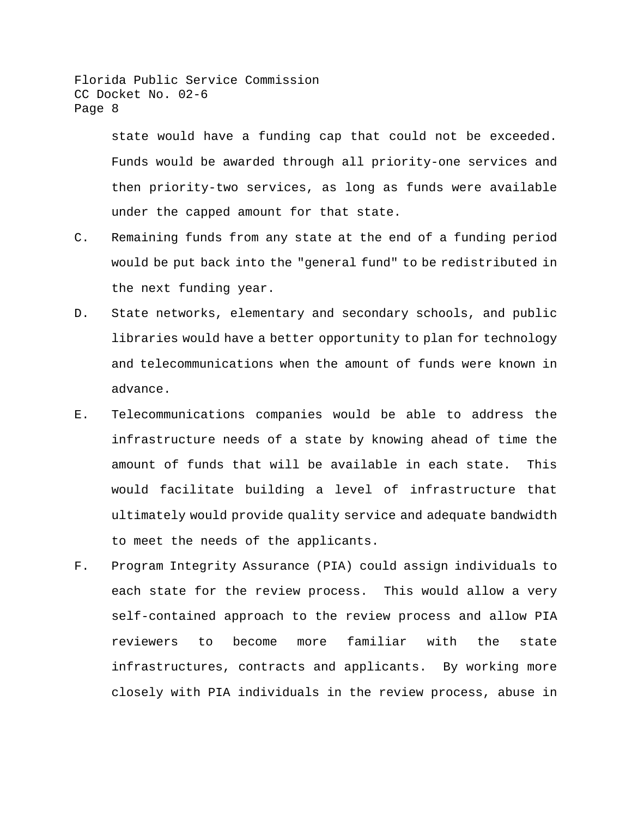> state would have a funding cap that could not be exceeded. Funds would be awarded through all priority-one services and then priority-two services, as long as funds were available under the capped amount for that state.

- C. Remaining funds from any state at the end of a funding period would be put back into the "general fund" to be redistributed in the next funding year.
- D. State networks, elementary and secondary schools, and public libraries would have a better opportunity to plan for technology and telecommunications when the amount of funds were known in advance.
- E. Telecommunications companies would be able to address the infrastructure needs of a state by knowing ahead of time the amount of funds that will be available in each state. This would facilitate building a level of infrastructure that ultimately would provide quality service and adequate bandwidth to meet the needs of the applicants.
- F. Program Integrity Assurance (PIA) could assign individuals to each state for the review process. This would allow a very self-contained approach to the review process and allow PIA reviewers to become more familiar with the state infrastructures, contracts and applicants. By working more closely with PIA individuals in the review process, abuse in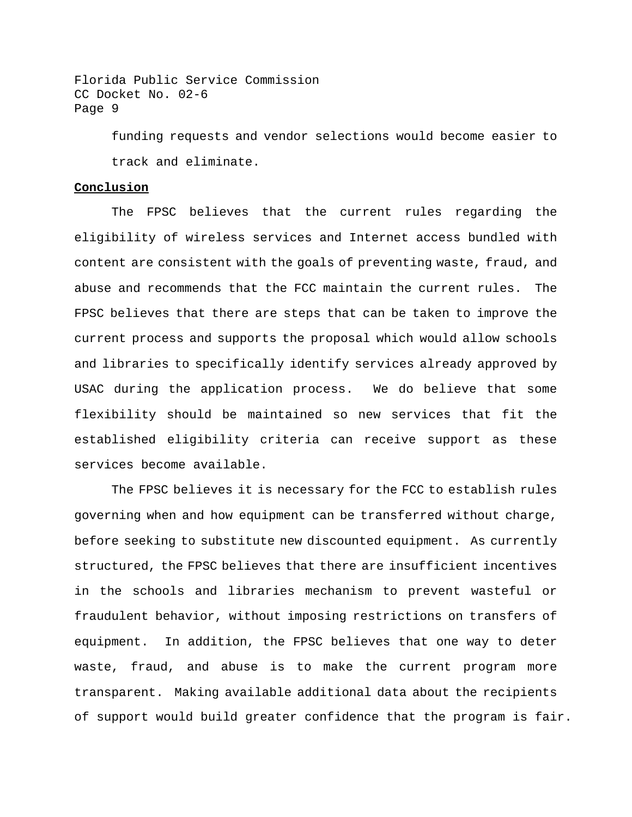> funding requests and vendor selections would become easier to track and eliminate.

#### **Conclusion**

The FPSC believes that the current rules regarding the eligibility of wireless services and Internet access bundled with content are consistent with the goals of preventing waste, fraud, and abuse and recommends that the FCC maintain the current rules. The FPSC believes that there are steps that can be taken to improve the current process and supports the proposal which would allow schools and libraries to specifically identify services already approved by USAC during the application process. We do believe that some flexibility should be maintained so new services that fit the established eligibility criteria can receive support as these services become available.

The FPSC believes it is necessary for the FCC to establish rules governing when and how equipment can be transferred without charge, before seeking to substitute new discounted equipment. As currently structured, the FPSC believes that there are insufficient incentives in the schools and libraries mechanism to prevent wasteful or fraudulent behavior, without imposing restrictions on transfers of equipment. In addition, the FPSC believes that one way to deter waste, fraud, and abuse is to make the current program more transparent. Making available additional data about the recipients of support would build greater confidence that the program is fair.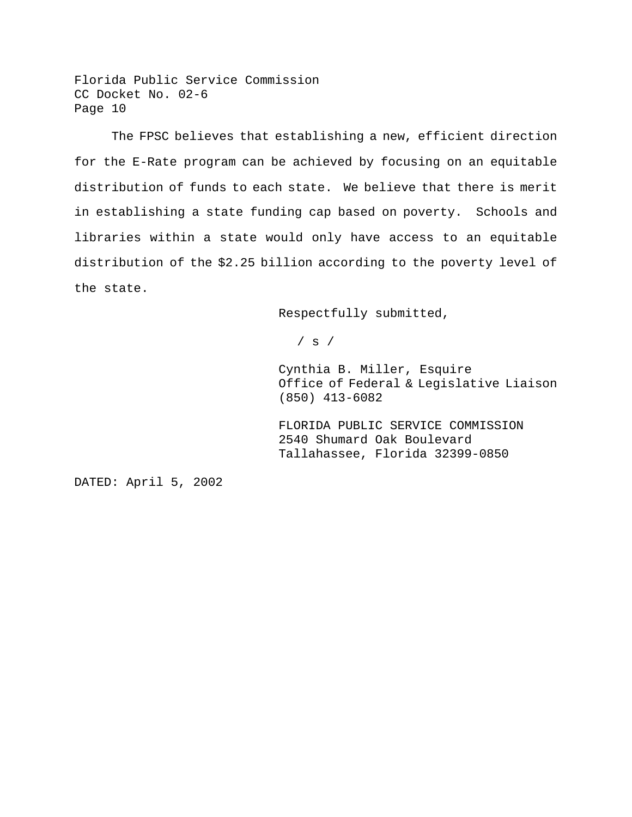The FPSC believes that establishing a new, efficient direction for the E-Rate program can be achieved by focusing on an equitable distribution of funds to each state. We believe that there is merit in establishing a state funding cap based on poverty. Schools and libraries within a state would only have access to an equitable distribution of the \$2.25 billion according to the poverty level of the state.

Respectfully submitted,

/ s /

Cynthia B. Miller, Esquire Office of Federal & Legislative Liaison (850) 413-6082

FLORIDA PUBLIC SERVICE COMMISSION 2540 Shumard Oak Boulevard Tallahassee, Florida 32399-0850

DATED: April 5, 2002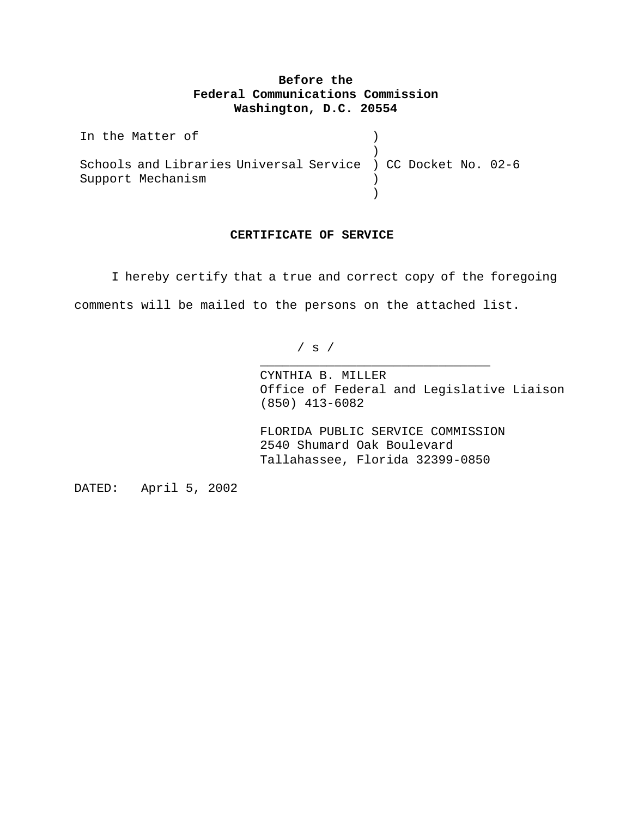## **Before the Federal Communications Commission Washington, D.C. 20554**

In the Matter of Schools and Libraries Universal Service ) CC Docket No. 02-6 Support Mechanism )  $\left( \right)$ ) )

#### **CERTIFICATE OF SERVICE**

I hereby certify that a true and correct copy of the foregoing comments will be mailed to the persons on the attached list.

# / s /

CYNTHIA B. MILLER Office of Federal and Legislative Liaison (850) 413-6082

FLORIDA PUBLIC SERVICE COMMISSION 2540 Shumard Oak Boulevard Tallahassee, Florida 32399-0850

\_\_\_\_\_\_\_\_\_\_\_\_\_\_\_\_\_\_\_\_\_\_\_\_\_\_\_\_\_\_\_

DATED: April 5, 2002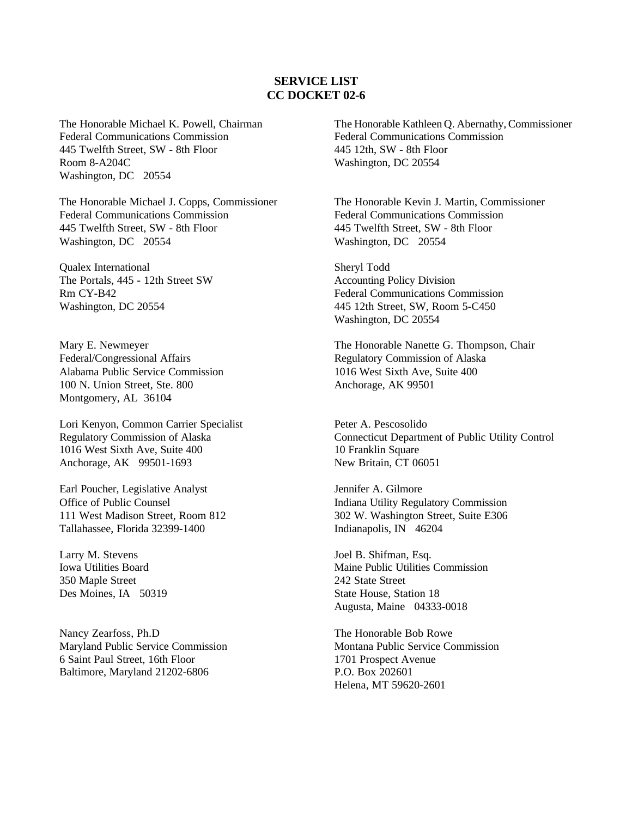## **SERVICE LIST CC DOCKET 02-6**

The Honorable Michael K. Powell, Chairman Federal Communications Commission 445 Twelfth Street, SW - 8th Floor Room 8-A204C Washington, DC 20554

The Honorable Michael J. Copps, Commissioner Federal Communications Commission 445 Twelfth Street, SW - 8th Floor Washington, DC 20554

Qualex International The Portals, 445 - 12th Street SW Rm CY-B42 Washington, DC 20554

Mary E. Newmeyer Federal/Congressional Affairs Alabama Public Service Commission 100 N. Union Street, Ste. 800 Montgomery, AL 36104

Lori Kenyon, Common Carrier Specialist Regulatory Commission of Alaska 1016 West Sixth Ave, Suite 400 Anchorage, AK 99501-1693

Earl Poucher, Legislative Analyst Office of Public Counsel 111 West Madison Street, Room 812 Tallahassee, Florida 32399-1400

Larry M. Stevens Iowa Utilities Board 350 Maple Street Des Moines, IA 50319

Nancy Zearfoss, Ph.D Maryland Public Service Commission 6 Saint Paul Street, 16th Floor Baltimore, Maryland 21202-6806

The Honorable Kathleen Q. Abernathy,Commissioner Federal Communications Commission 445 12th, SW - 8th Floor Washington, DC 20554

The Honorable Kevin J. Martin, Commissioner Federal Communications Commission 445 Twelfth Street, SW - 8th Floor Washington, DC 20554

Sheryl Todd Accounting Policy Division Federal Communications Commission 445 12th Street, SW, Room 5-C450 Washington, DC 20554

The Honorable Nanette G. Thompson, Chair Regulatory Commission of Alaska 1016 West Sixth Ave, Suite 400 Anchorage, AK 99501

Peter A. Pescosolido Connecticut Department of Public Utility Control 10 Franklin Square New Britain, CT 06051

Jennifer A. Gilmore Indiana Utility Regulatory Commission 302 W. Washington Street, Suite E306 Indianapolis, IN 46204

Joel B. Shifman, Esq. Maine Public Utilities Commission 242 State Street State House, Station 18 Augusta, Maine 04333-0018

The Honorable Bob Rowe Montana Public Service Commission 1701 Prospect Avenue P.O. Box 202601 Helena, MT 59620-2601